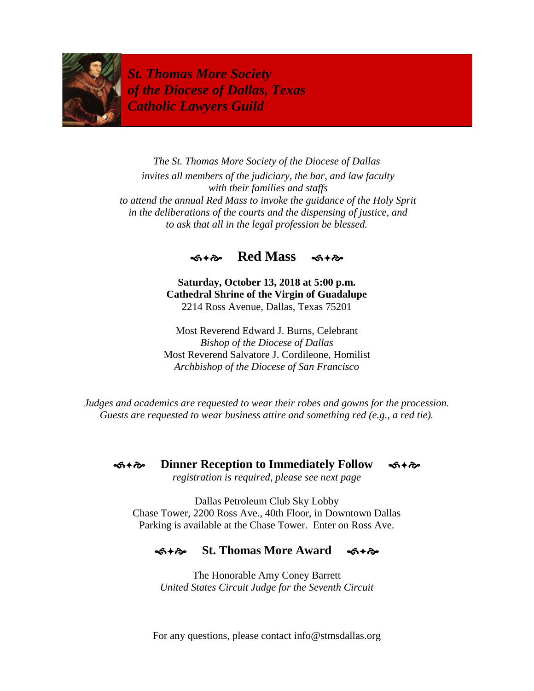

*St. Thomas More Society of the Diocese of Dallas, Texas Catholic Lawyers Guild*

*The St. Thomas More Society of the Diocese of Dallas invites all members of the judiciary, the bar, and law faculty with their families and staffs to attend the annual Red Mass to invoke the guidance of the Holy Sprit in the deliberations of the courts and the dispensing of justice, and to ask that all in the legal profession be blessed.*



**Saturday, October 13, 2018 at 5:00 p.m. Cathedral Shrine of the Virgin of Guadalupe** 2214 Ross Avenue, Dallas, Texas 75201

Most Reverend Edward J. Burns, Celebrant *Bishop of the Diocese of Dallas* Most Reverend Salvatore J. Cordileone, Homilist *Archbishop of the Diocese of San Francisco*

*Judges and academics are requested to wear their robes and gowns for the procession. Guests are requested to wear business attire and something red (e.g., a red tie).*

**S**  $\ast$   $\diamond$  Dinner Reception to Immediately Follow  $\cdot$ 

*registration is required, please see next page*

Dallas Petroleum Club Sky Lobby Chase Tower, 2200 Ross Ave., 40th Floor, in Downtown Dallas Parking is available at the Chase Tower. Enter on Ross Ave.

## **St. Thomas More Award**

The Honorable Amy Coney Barrett *United States Circuit Judge for the Seventh Circuit*

For any questions, please contact info@stmsdallas.org